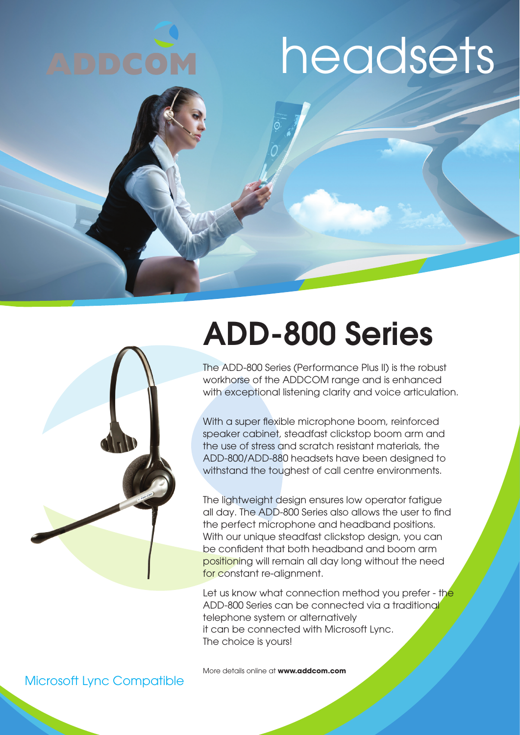





## ADD-800 Series

The ADD-800 Series (Performance Plus II) is the robust workhorse of the ADDCOM range and is enhanced with exceptional listening clarity and voice articulation.

With a super flexible microphone boom, reinforced speaker cabinet, steadfast clickstop boom arm and the use of stress and scratch resistant materials, the ADD-800/ADD-880 headsets have been designed to withstand the toughest of call centre environments.

The lightweight design ensures low operator fatigue all day. The ADD-800 Series also allows the user to find the perfect microphone and headband positions. With our unique steadfast clickstop design, you can be confident that both headband and boom arm positioning will remain all day long without the need for constant re-alignment.

Let us know what connection method you prefer - the ADD-800 Series can be connected via a traditional telephone system or alternatively it can be connected with Microsoft Lync. The choice is yours!

More details online at **www.addcom.com**

#### Microsoft Lync Compatible